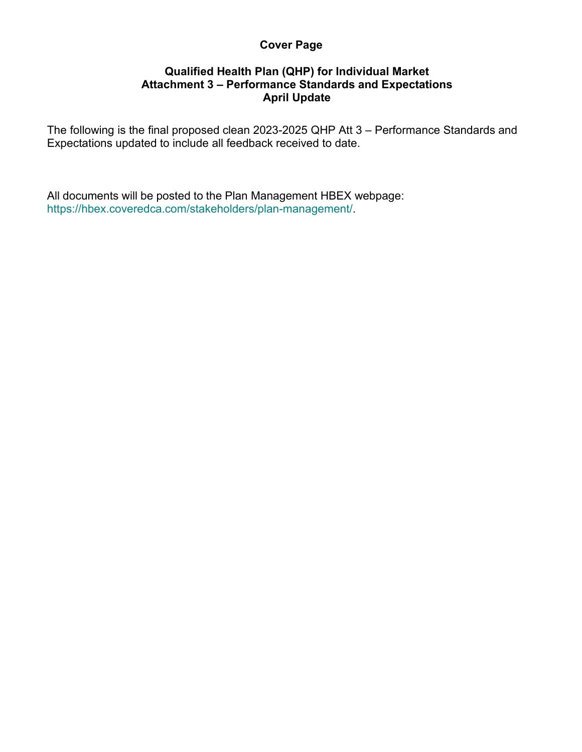## **Cover Page**

## **Qualified Health Plan (QHP) for Individual Market Attachment 3 – Performance Standards and Expectations April Update**

The following is the final proposed clean 2023-2025 QHP Att 3 – Performance Standards and Expectations updated to include all feedback received to date.

All documents will be posted to the Plan Management HBEX webpage: https://hbex.coveredca.com/stakeholders/plan-management/.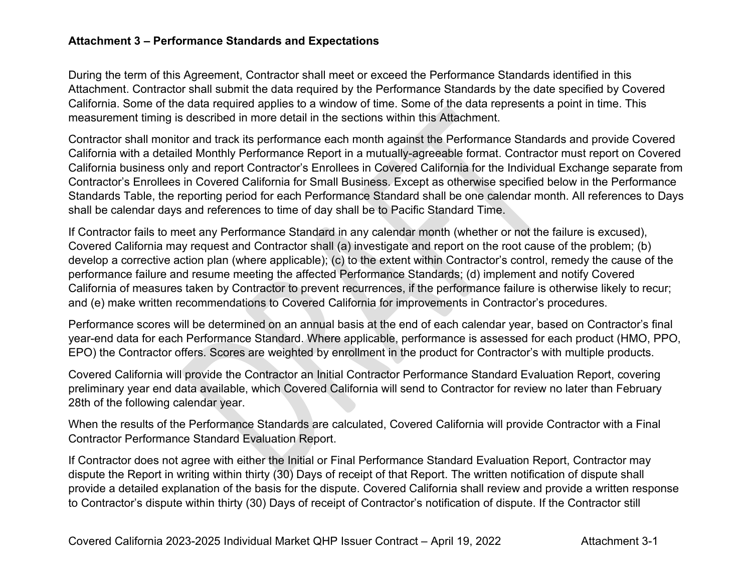## **Attachment 3 – Performance Standards and Expectations**

During the term of this Agreement, Contractor shall meet or exceed the Performance Standards identified in this Attachment. Contractor shall submit the data required by the Performance Standards by the date specified by Covered California. Some of the data required applies to a window of time. Some of the data represents a point in time. This measurement timing is described in more detail in the sections within this Attachment.

Contractor shall monitor and track its performance each month against the Performance Standards and provide Covered California with a detailed Monthly Performance Report in a mutually-agreeable format. Contractor must report on Covered California business only and report Contractor's Enrollees in Covered California for the Individual Exchange separate from Contractor's Enrollees in Covered California for Small Business. Except as otherwise specified below in the Performance Standards Table, the reporting period for each Performance Standard shall be one calendar month. All references to Days shall be calendar days and references to time of day shall be to Pacific Standard Time.

If Contractor fails to meet any Performance Standard in any calendar month (whether or not the failure is excused), Covered California may request and Contractor shall (a) investigate and report on the root cause of the problem; (b) develop a corrective action plan (where applicable); (c) to the extent within Contractor's control, remedy the cause of the performance failure and resume meeting the affected Performance Standards; (d) implement and notify Covered California of measures taken by Contractor to prevent recurrences, if the performance failure is otherwise likely to recur; and (e) make written recommendations to Covered California for improvements in Contractor's procedures.

Performance scores will be determined on an annual basis at the end of each calendar year, based on Contractor's final year-end data for each Performance Standard. Where applicable, performance is assessed for each product (HMO, PPO, EPO) the Contractor offers. Scores are weighted by enrollment in the product for Contractor's with multiple products.

Covered California will provide the Contractor an Initial Contractor Performance Standard Evaluation Report, covering preliminary year end data available, which Covered California will send to Contractor for review no later than February 28th of the following calendar year.

When the results of the Performance Standards are calculated, Covered California will provide Contractor with a Final Contractor Performance Standard Evaluation Report.

If Contractor does not agree with either the Initial or Final Performance Standard Evaluation Report, Contractor may dispute the Report in writing within thirty (30) Days of receipt of that Report. The written notification of dispute shall provide a detailed explanation of the basis for the dispute. Covered California shall review and provide a written response to Contractor's dispute within thirty (30) Days of receipt of Contractor's notification of dispute. If the Contractor still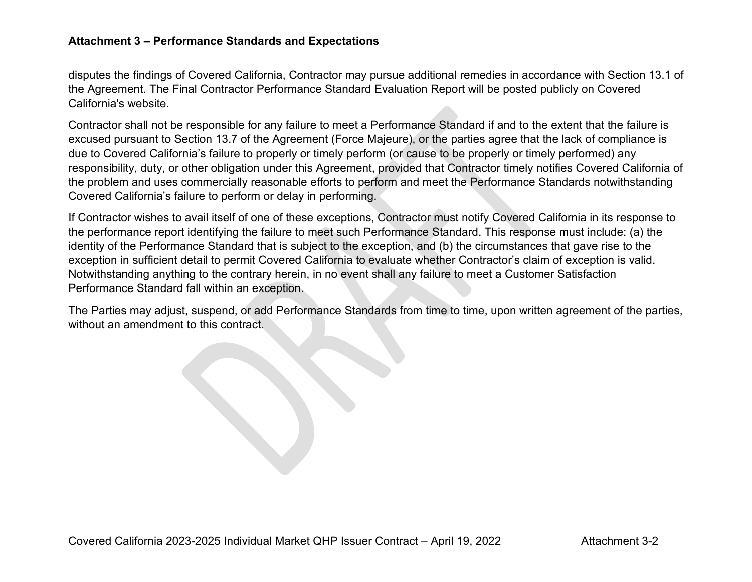## **Attachment 3 – Performance Standards and Expectations**

disputes the findings of Covered California, Contractor may pursue additional remedies in accordance with Section 13.1 of the Agreement. The Final Contractor Performance Standard Evaluation Report will be posted publicly on Covered California's website.

Contractor shall not be responsible for any failure to meet a Performance Standard if and to the extent that the failure is excused pursuant to Section 13.7 of the Agreement (Force Majeure), or the parties agree that the lack of compliance is due to Covered California's failure to properly or timely perform (or cause to be properly or timely performed) any responsibility, duty, or other obligation under this Agreement, provided that Contractor timely notifies Covered California of the problem and uses commercially reasonable efforts to perform and meet the Performance Standards notwithstanding Covered California's failure to perform or delay in performing.

If Contractor wishes to avail itself of one of these exceptions, Contractor must notify Covered California in its response to the performance report identifying the failure to meet such Performance Standard. This response must include: (a) the identity of the Performance Standard that is subject to the exception, and (b) the circumstances that gave rise to the exception in sufficient detail to permit Covered California to evaluate whether Contractor's claim of exception is valid. Notwithstanding anything to the contrary herein, in no event shall any failure to meet a Customer Satisfaction Performance Standard fall within an exception.

The Parties may adjust, suspend, or add Performance Standards from time to time, upon written agreement of the parties, without an amendment to this contract.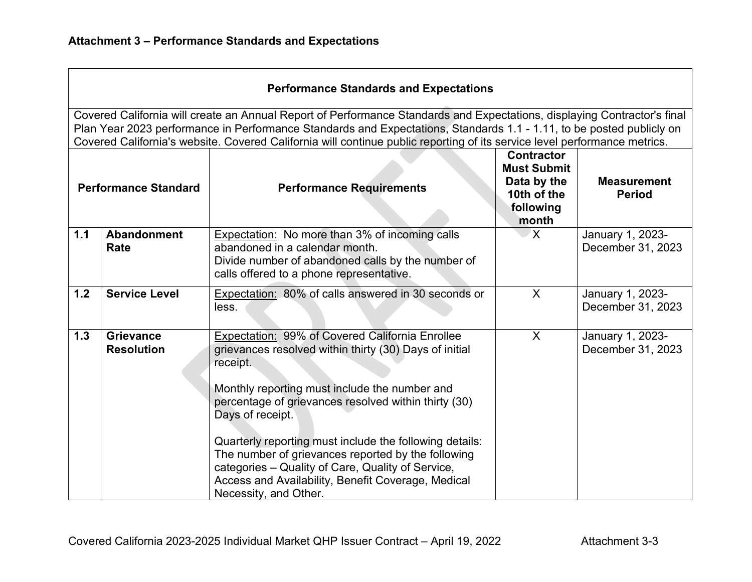| <b>Performance Standards and Expectations</b>                                                                                                                                                                                                                                                                                                                                 |                                       |                                                                                                                                                                                                                                                                                                                                                                                                                                                                                                                |                                                                                             |                                       |
|-------------------------------------------------------------------------------------------------------------------------------------------------------------------------------------------------------------------------------------------------------------------------------------------------------------------------------------------------------------------------------|---------------------------------------|----------------------------------------------------------------------------------------------------------------------------------------------------------------------------------------------------------------------------------------------------------------------------------------------------------------------------------------------------------------------------------------------------------------------------------------------------------------------------------------------------------------|---------------------------------------------------------------------------------------------|---------------------------------------|
| Covered California will create an Annual Report of Performance Standards and Expectations, displaying Contractor's final<br>Plan Year 2023 performance in Performance Standards and Expectations, Standards 1.1 - 1.11, to be posted publicly on<br>Covered California's website. Covered California will continue public reporting of its service level performance metrics. |                                       |                                                                                                                                                                                                                                                                                                                                                                                                                                                                                                                |                                                                                             |                                       |
| <b>Performance Standard</b>                                                                                                                                                                                                                                                                                                                                                   |                                       | <b>Performance Requirements</b>                                                                                                                                                                                                                                                                                                                                                                                                                                                                                | <b>Contractor</b><br><b>Must Submit</b><br>Data by the<br>10th of the<br>following<br>month | <b>Measurement</b><br><b>Period</b>   |
| 1.1                                                                                                                                                                                                                                                                                                                                                                           | Abandonment<br><b>Rate</b>            | Expectation: No more than 3% of incoming calls<br>abandoned in a calendar month.<br>Divide number of abandoned calls by the number of<br>calls offered to a phone representative.                                                                                                                                                                                                                                                                                                                              | <sup>X</sup>                                                                                | January 1, 2023-<br>December 31, 2023 |
| 1.2                                                                                                                                                                                                                                                                                                                                                                           | <b>Service Level</b>                  | Expectation: 80% of calls answered in 30 seconds or<br>less.                                                                                                                                                                                                                                                                                                                                                                                                                                                   | $\sf X$                                                                                     | January 1, 2023-<br>December 31, 2023 |
| 1.3                                                                                                                                                                                                                                                                                                                                                                           | <b>Grievance</b><br><b>Resolution</b> | <b>Expectation: 99% of Covered California Enrollee</b><br>grievances resolved within thirty (30) Days of initial<br>receipt.<br>Monthly reporting must include the number and<br>percentage of grievances resolved within thirty (30)<br>Days of receipt.<br>Quarterly reporting must include the following details:<br>The number of grievances reported by the following<br>categories - Quality of Care, Quality of Service,<br>Access and Availability, Benefit Coverage, Medical<br>Necessity, and Other. | X                                                                                           | January 1, 2023-<br>December 31, 2023 |

<u> 1989 - Johann Stoff, amerikansk politiker (d. 1989)</u>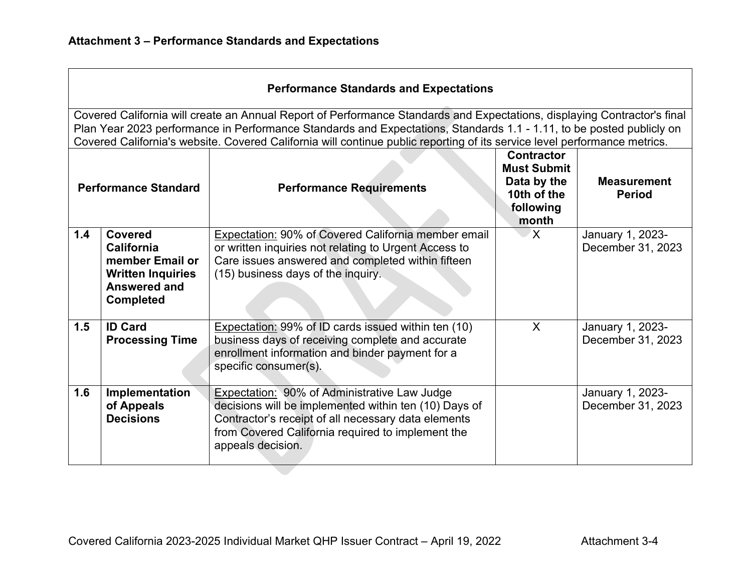| <b>Performance Standards and Expectations</b>                                                                                                                                                                                                                                                                                                                                 |                                                                                                                        |                                                                                                                                                                                                                                               |                                                                                             |                                       |
|-------------------------------------------------------------------------------------------------------------------------------------------------------------------------------------------------------------------------------------------------------------------------------------------------------------------------------------------------------------------------------|------------------------------------------------------------------------------------------------------------------------|-----------------------------------------------------------------------------------------------------------------------------------------------------------------------------------------------------------------------------------------------|---------------------------------------------------------------------------------------------|---------------------------------------|
| Covered California will create an Annual Report of Performance Standards and Expectations, displaying Contractor's final<br>Plan Year 2023 performance in Performance Standards and Expectations, Standards 1.1 - 1.11, to be posted publicly on<br>Covered California's website. Covered California will continue public reporting of its service level performance metrics. |                                                                                                                        |                                                                                                                                                                                                                                               |                                                                                             |                                       |
| <b>Performance Standard</b>                                                                                                                                                                                                                                                                                                                                                   |                                                                                                                        | <b>Performance Requirements</b>                                                                                                                                                                                                               | <b>Contractor</b><br><b>Must Submit</b><br>Data by the<br>10th of the<br>following<br>month | <b>Measurement</b><br><b>Period</b>   |
| 1.4                                                                                                                                                                                                                                                                                                                                                                           | <b>Covered</b><br><b>California</b><br>member Email or<br><b>Written Inquiries</b><br>Answered and<br><b>Completed</b> | Expectation: 90% of Covered California member email<br>or written inquiries not relating to Urgent Access to<br>Care issues answered and completed within fifteen<br>(15) business days of the inquiry.                                       | X.                                                                                          | January 1, 2023-<br>December 31, 2023 |
| 1.5                                                                                                                                                                                                                                                                                                                                                                           | <b>ID Card</b><br><b>Processing Time</b>                                                                               | <b>Expectation: 99% of ID cards issued within ten (10)</b><br>business days of receiving complete and accurate<br>enrollment information and binder payment for a<br>specific consumer(s).                                                    | $\mathsf{X}$                                                                                | January 1, 2023-<br>December 31, 2023 |
| 1.6                                                                                                                                                                                                                                                                                                                                                                           | Implementation<br>of Appeals<br><b>Decisions</b>                                                                       | <b>Expectation: 90% of Administrative Law Judge</b><br>decisions will be implemented within ten (10) Days of<br>Contractor's receipt of all necessary data elements<br>from Covered California required to implement the<br>appeals decision. |                                                                                             | January 1, 2023-<br>December 31, 2023 |

<u> 1989 - Johann Stoff, deutscher Stoff, der Stoff, der Stoff, der Stoff, der Stoff, der Stoff, der Stoff, der S</u>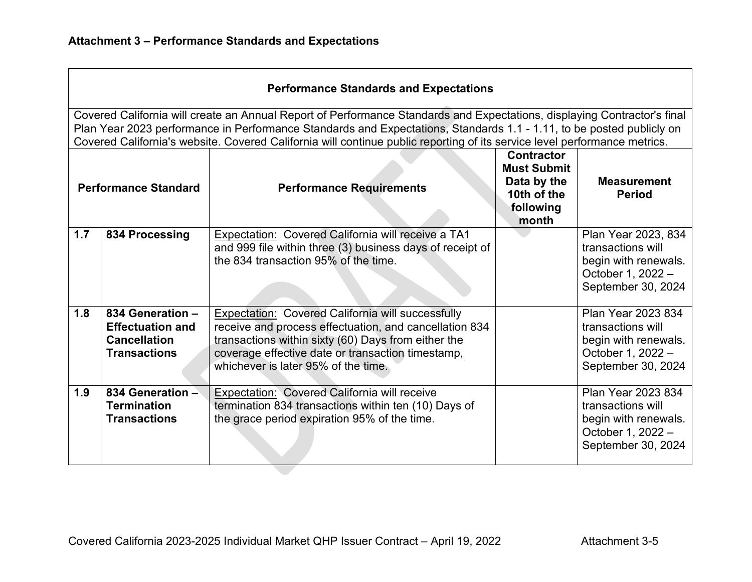| <b>Performance Standards and Expectations</b>                                                                                                                                                                                                                                                                                                                                 |                                                                                           |                                                                                                                                                                                                                                                                       |                                                                                             |                                                                                                             |
|-------------------------------------------------------------------------------------------------------------------------------------------------------------------------------------------------------------------------------------------------------------------------------------------------------------------------------------------------------------------------------|-------------------------------------------------------------------------------------------|-----------------------------------------------------------------------------------------------------------------------------------------------------------------------------------------------------------------------------------------------------------------------|---------------------------------------------------------------------------------------------|-------------------------------------------------------------------------------------------------------------|
| Covered California will create an Annual Report of Performance Standards and Expectations, displaying Contractor's final<br>Plan Year 2023 performance in Performance Standards and Expectations, Standards 1.1 - 1.11, to be posted publicly on<br>Covered California's website. Covered California will continue public reporting of its service level performance metrics. |                                                                                           |                                                                                                                                                                                                                                                                       |                                                                                             |                                                                                                             |
| <b>Performance Standard</b>                                                                                                                                                                                                                                                                                                                                                   |                                                                                           | <b>Performance Requirements</b>                                                                                                                                                                                                                                       | <b>Contractor</b><br><b>Must Submit</b><br>Data by the<br>10th of the<br>following<br>month | <b>Measurement</b><br><b>Period</b>                                                                         |
| 1.7                                                                                                                                                                                                                                                                                                                                                                           | 834 Processing                                                                            | Expectation: Covered California will receive a TA1<br>and 999 file within three (3) business days of receipt of<br>the 834 transaction 95% of the time.                                                                                                               |                                                                                             | Plan Year 2023, 834<br>transactions will<br>begin with renewals.<br>October 1, 2022 -<br>September 30, 2024 |
| 1.8                                                                                                                                                                                                                                                                                                                                                                           | 834 Generation -<br><b>Effectuation and</b><br><b>Cancellation</b><br><b>Transactions</b> | <b>Expectation: Covered California will successfully</b><br>receive and process effectuation, and cancellation 834<br>transactions within sixty (60) Days from either the<br>coverage effective date or transaction timestamp,<br>whichever is later 95% of the time. |                                                                                             | Plan Year 2023 834<br>transactions will<br>begin with renewals.<br>October 1, 2022 -<br>September 30, 2024  |
| 1.9                                                                                                                                                                                                                                                                                                                                                                           | 834 Generation -<br><b>Termination</b><br><b>Transactions</b>                             | Expectation: Covered California will receive<br>termination 834 transactions within ten (10) Days of<br>the grace period expiration 95% of the time.                                                                                                                  |                                                                                             | Plan Year 2023 834<br>transactions will<br>begin with renewals.<br>October 1, 2022 -<br>September 30, 2024  |

<u> 1989 - Johann Stoff, deutscher Stoff, der Stoff, der Stoff, der Stoff, der Stoff, der Stoff, der Stoff, der S</u>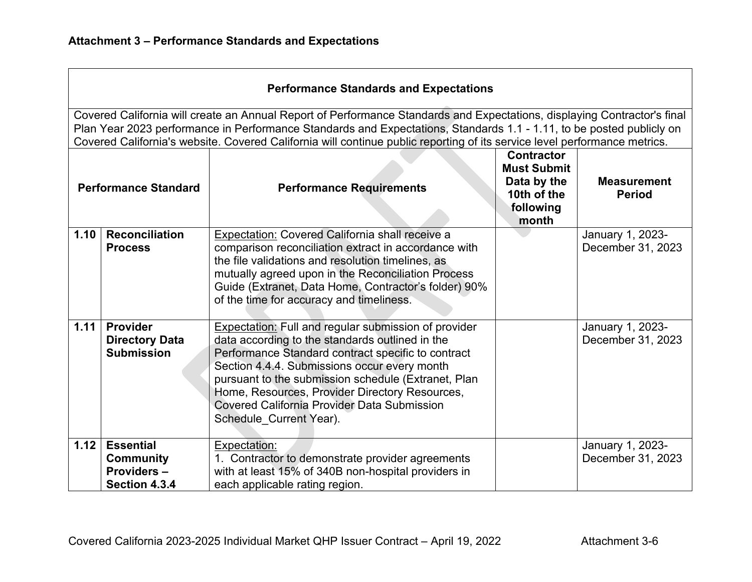| <b>Performance Standards and Expectations</b>                                                                                                                                                                                                                                                                                                                                 |                                                                     |                                                                                                                                                                                                                                                                                                                                                                                                                |                                                                                             |                                       |  |
|-------------------------------------------------------------------------------------------------------------------------------------------------------------------------------------------------------------------------------------------------------------------------------------------------------------------------------------------------------------------------------|---------------------------------------------------------------------|----------------------------------------------------------------------------------------------------------------------------------------------------------------------------------------------------------------------------------------------------------------------------------------------------------------------------------------------------------------------------------------------------------------|---------------------------------------------------------------------------------------------|---------------------------------------|--|
| Covered California will create an Annual Report of Performance Standards and Expectations, displaying Contractor's final<br>Plan Year 2023 performance in Performance Standards and Expectations, Standards 1.1 - 1.11, to be posted publicly on<br>Covered California's website. Covered California will continue public reporting of its service level performance metrics. |                                                                     |                                                                                                                                                                                                                                                                                                                                                                                                                |                                                                                             |                                       |  |
| <b>Performance Standard</b>                                                                                                                                                                                                                                                                                                                                                   |                                                                     | <b>Performance Requirements</b>                                                                                                                                                                                                                                                                                                                                                                                | <b>Contractor</b><br><b>Must Submit</b><br>Data by the<br>10th of the<br>following<br>month | <b>Measurement</b><br><b>Period</b>   |  |
| 1.10                                                                                                                                                                                                                                                                                                                                                                          | <b>Reconciliation</b><br><b>Process</b>                             | <b>Expectation: Covered California shall receive a</b><br>comparison reconciliation extract in accordance with<br>the file validations and resolution timelines, as<br>mutually agreed upon in the Reconciliation Process<br>Guide (Extranet, Data Home, Contractor's folder) 90%<br>of the time for accuracy and timeliness.                                                                                  |                                                                                             | January 1, 2023-<br>December 31, 2023 |  |
| 1.11                                                                                                                                                                                                                                                                                                                                                                          | Provider<br><b>Directory Data</b><br><b>Submission</b>              | <b>Expectation: Full and regular submission of provider</b><br>data according to the standards outlined in the<br>Performance Standard contract specific to contract<br>Section 4.4.4. Submissions occur every month<br>pursuant to the submission schedule (Extranet, Plan<br>Home, Resources, Provider Directory Resources,<br><b>Covered California Provider Data Submission</b><br>Schedule_Current Year). |                                                                                             | January 1, 2023-<br>December 31, 2023 |  |
| 1.12                                                                                                                                                                                                                                                                                                                                                                          | <b>Essential</b><br><b>Community</b><br>Providers-<br>Section 4.3.4 | Expectation:<br>1. Contractor to demonstrate provider agreements<br>with at least 15% of 340B non-hospital providers in<br>each applicable rating region.                                                                                                                                                                                                                                                      |                                                                                             | January 1, 2023-<br>December 31, 2023 |  |

<u> 1989 - Johann Stoff, amerikansk politiker (d. 1989)</u>